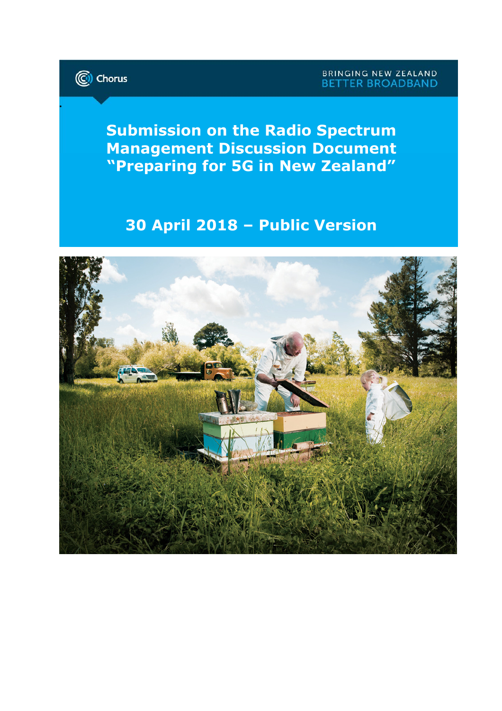

.

Submission on the Radio Spectrum Management Discussion Document "Preparing for 5G in New Zealand"

# 30 April 2018 – Public Version

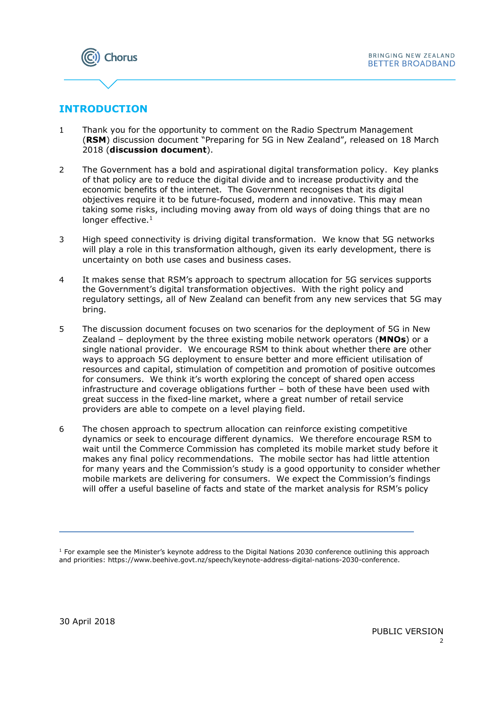

## **INTRODUCTION**

- 1 Thank you for the opportunity to comment on the Radio Spectrum Management (RSM) discussion document "Preparing for 5G in New Zealand", released on 18 March 2018 (discussion document).
- 2 The Government has a bold and aspirational digital transformation policy. Key planks of that policy are to reduce the digital divide and to increase productivity and the economic benefits of the internet. The Government recognises that its digital objectives require it to be future-focused, modern and innovative. This may mean taking some risks, including moving away from old ways of doing things that are no longer effective.<sup>1</sup>
- 3 High speed connectivity is driving digital transformation. We know that 5G networks will play a role in this transformation although, given its early development, there is uncertainty on both use cases and business cases.
- 4 It makes sense that RSM's approach to spectrum allocation for 5G services supports the Government's digital transformation objectives. With the right policy and regulatory settings, all of New Zealand can benefit from any new services that 5G may bring.
- 5 The discussion document focuses on two scenarios for the deployment of 5G in New Zealand – deployment by the three existing mobile network operators ( $MNOs$ ) or a single national provider. We encourage RSM to think about whether there are other ways to approach 5G deployment to ensure better and more efficient utilisation of resources and capital, stimulation of competition and promotion of positive outcomes for consumers. We think it's worth exploring the concept of shared open access infrastructure and coverage obligations further – both of these have been used with great success in the fixed-line market, where a great number of retail service providers are able to compete on a level playing field.
- 6 The chosen approach to spectrum allocation can reinforce existing competitive dynamics or seek to encourage different dynamics. We therefore encourage RSM to wait until the Commerce Commission has completed its mobile market study before it makes any final policy recommendations. The mobile sector has had little attention for many years and the Commission's study is a good opportunity to consider whether mobile markets are delivering for consumers. We expect the Commission's findings will offer a useful baseline of facts and state of the market analysis for RSM's policy

E

<sup>&</sup>lt;sup>1</sup> For example see the Minister's keynote address to the Digital Nations 2030 conference outlining this approach and priorities: https://www.beehive.govt.nz/speech/keynote-address-digital-nations-2030-conference.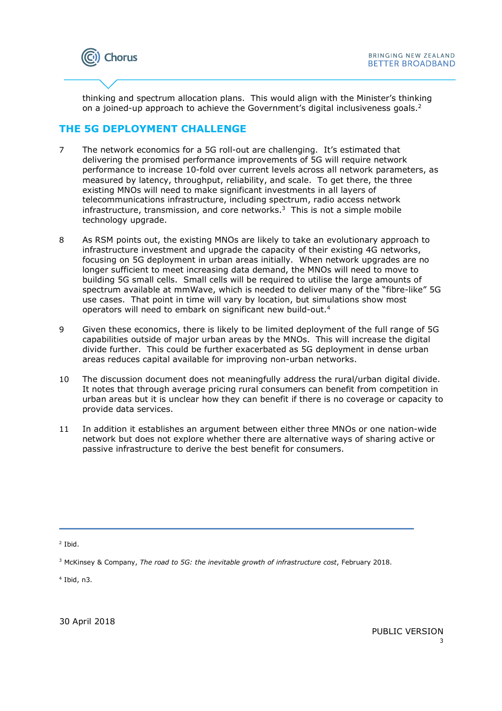

thinking and spectrum allocation plans. This would align with the Minister's thinking on a joined-up approach to achieve the Government's digital inclusiveness goals. $2$ 

### THE 5G DEPLOYMENT CHALLENGE

- 7 The network economics for a 5G roll-out are challenging. It's estimated that delivering the promised performance improvements of 5G will require network performance to increase 10-fold over current levels across all network parameters, as measured by latency, throughput, reliability, and scale. To get there, the three existing MNOs will need to make significant investments in all layers of telecommunications infrastructure, including spectrum, radio access network infrastructure, transmission, and core networks. $3$  This is not a simple mobile technology upgrade.
- 8 As RSM points out, the existing MNOs are likely to take an evolutionary approach to infrastructure investment and upgrade the capacity of their existing 4G networks, focusing on 5G deployment in urban areas initially. When network upgrades are no longer sufficient to meet increasing data demand, the MNOs will need to move to building 5G small cells. Small cells will be required to utilise the large amounts of spectrum available at mmWave, which is needed to deliver many of the "fibre-like" 5G use cases. That point in time will vary by location, but simulations show most operators will need to embark on significant new build-out.<sup>4</sup>
- 9 Given these economics, there is likely to be limited deployment of the full range of 5G capabilities outside of major urban areas by the MNOs. This will increase the digital divide further. This could be further exacerbated as 5G deployment in dense urban areas reduces capital available for improving non-urban networks.
- 10 The discussion document does not meaningfully address the rural/urban digital divide. It notes that through average pricing rural consumers can benefit from competition in urban areas but it is unclear how they can benefit if there is no coverage or capacity to provide data services.
- 11 In addition it establishes an argument between either three MNOs or one nation-wide network but does not explore whether there are alternative ways of sharing active or passive infrastructure to derive the best benefit for consumers.

<sup>2</sup> Ibid.

E

4 Ibid, n3.

30 April 2018

<sup>&</sup>lt;sup>3</sup> McKinsey & Company, The road to 5G: the inevitable growth of infrastructure cost, February 2018.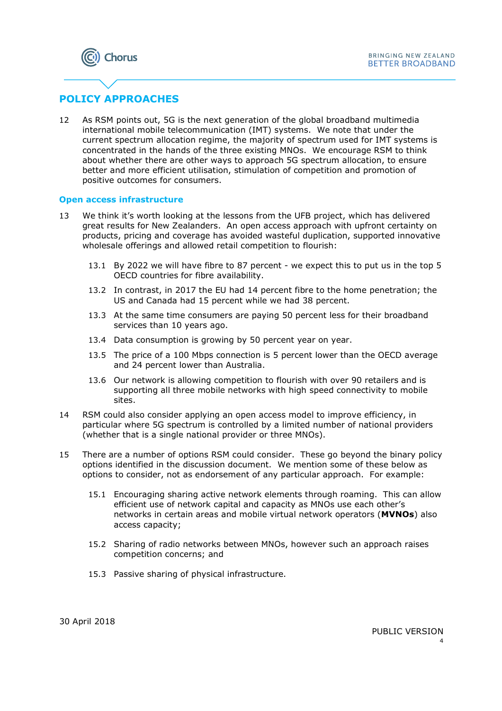

# POLICY APPROACHES

12 As RSM points out, 5G is the next generation of the global broadband multimedia international mobile telecommunication (IMT) systems. We note that under the current spectrum allocation regime, the majority of spectrum used for IMT systems is concentrated in the hands of the three existing MNOs. We encourage RSM to think about whether there are other ways to approach 5G spectrum allocation, to ensure better and more efficient utilisation, stimulation of competition and promotion of positive outcomes for consumers.

#### Open access infrastructure

- 13 We think it's worth looking at the lessons from the UFB project, which has delivered great results for New Zealanders. An open access approach with upfront certainty on products, pricing and coverage has avoided wasteful duplication, supported innovative wholesale offerings and allowed retail competition to flourish:
	- 13.1 By 2022 we will have fibre to 87 percent we expect this to put us in the top 5 OECD countries for fibre availability.
	- 13.2 In contrast, in 2017 the EU had 14 percent fibre to the home penetration; the US and Canada had 15 percent while we had 38 percent.
	- 13.3 At the same time consumers are paying 50 percent less for their broadband services than 10 years ago.
	- 13.4 Data consumption is growing by 50 percent year on year.
	- 13.5 The price of a 100 Mbps connection is 5 percent lower than the OECD average and 24 percent lower than Australia.
	- 13.6 Our network is allowing competition to flourish with over 90 retailers and is supporting all three mobile networks with high speed connectivity to mobile sites.
- 14 RSM could also consider applying an open access model to improve efficiency, in particular where 5G spectrum is controlled by a limited number of national providers (whether that is a single national provider or three MNOs).
- 15 There are a number of options RSM could consider. These go beyond the binary policy options identified in the discussion document. We mention some of these below as options to consider, not as endorsement of any particular approach. For example:
	- 15.1 Encouraging sharing active network elements through roaming. This can allow efficient use of network capital and capacity as MNOs use each other's networks in certain areas and mobile virtual network operators (MVNOs) also access capacity;
	- 15.2 Sharing of radio networks between MNOs, however such an approach raises competition concerns; and
	- 15.3 Passive sharing of physical infrastructure.

30 April 2018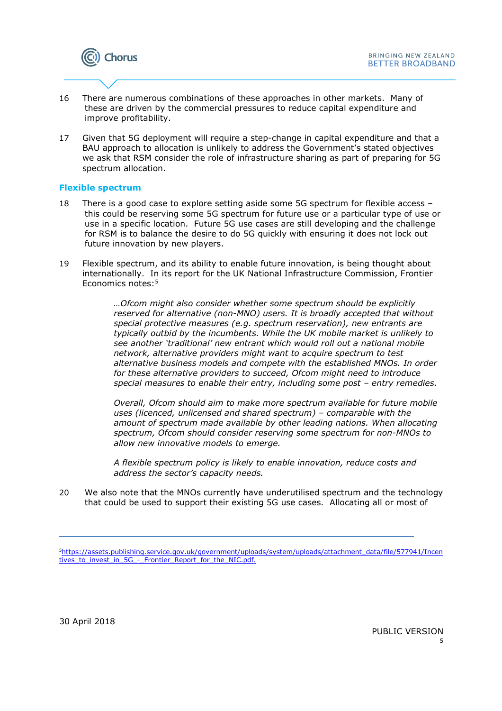

- 16 There are numerous combinations of these approaches in other markets. Many of these are driven by the commercial pressures to reduce capital expenditure and improve profitability.
- 17 Given that 5G deployment will require a step-change in capital expenditure and that a BAU approach to allocation is unlikely to address the Government's stated objectives we ask that RSM consider the role of infrastructure sharing as part of preparing for 5G spectrum allocation.

#### Flexible spectrum

- 18 There is a good case to explore setting aside some 5G spectrum for flexible access this could be reserving some 5G spectrum for future use or a particular type of use or use in a specific location. Future 5G use cases are still developing and the challenge for RSM is to balance the desire to do 5G quickly with ensuring it does not lock out future innovation by new players.
- 19 Flexible spectrum, and its ability to enable future innovation, is being thought about internationally. In its report for the UK National Infrastructure Commission, Frontier Economics notes:<sup>5</sup>

…Ofcom might also consider whether some spectrum should be explicitly reserved for alternative (non-MNO) users. It is broadly accepted that without special protective measures (e.g. spectrum reservation), new entrants are typically outbid by the incumbents. While the UK mobile market is unlikely to see another 'traditional' new entrant which would roll out a national mobile network, alternative providers might want to acquire spectrum to test alternative business models and compete with the established MNOs. In order for these alternative providers to succeed, Ofcom might need to introduce special measures to enable their entry, including some post – entry remedies.

Overall, Ofcom should aim to make more spectrum available for future mobile uses (licenced, unlicensed and shared spectrum) – comparable with the amount of spectrum made available by other leading nations. When allocating spectrum, Ofcom should consider reserving some spectrum for non-MNOs to allow new innovative models to emerge.

A flexible spectrum policy is likely to enable innovation, reduce costs and address the sector's capacity needs.

20 We also note that the MNOs currently have underutilised spectrum and the technology that could be used to support their existing 5G use cases. Allocating all or most of

L

<sup>5</sup>https://assets.publishing.service.gov.uk/government/uploads/system/uploads/attachment\_data/file/577941/Incen tives to invest in 5G - Frontier Report for the NIC.pdf.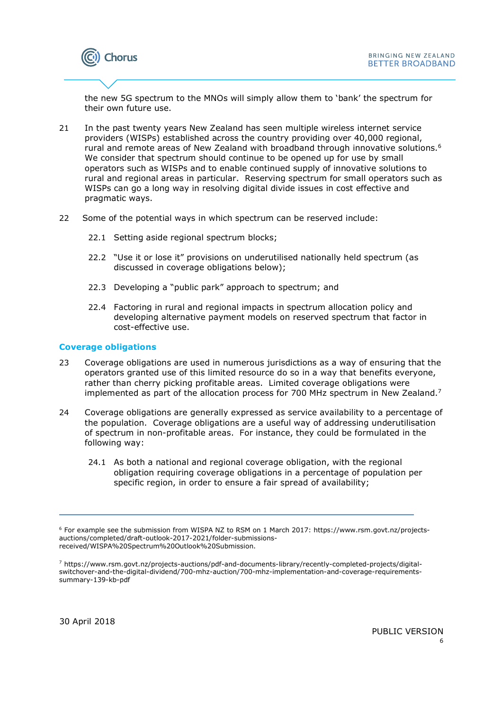

the new 5G spectrum to the MNOs will simply allow them to 'bank' the spectrum for their own future use.

- 21 In the past twenty years New Zealand has seen multiple wireless internet service providers (WISPs) established across the country providing over 40,000 regional, rural and remote areas of New Zealand with broadband through innovative solutions.<sup>6</sup> We consider that spectrum should continue to be opened up for use by small operators such as WISPs and to enable continued supply of innovative solutions to rural and regional areas in particular. Reserving spectrum for small operators such as WISPs can go a long way in resolving digital divide issues in cost effective and pragmatic ways.
- 22 Some of the potential ways in which spectrum can be reserved include:
	- 22.1 Setting aside regional spectrum blocks;
	- 22.2 "Use it or lose it" provisions on underutilised nationally held spectrum (as discussed in coverage obligations below);
	- 22.3 Developing a "public park" approach to spectrum; and
	- 22.4 Factoring in rural and regional impacts in spectrum allocation policy and developing alternative payment models on reserved spectrum that factor in cost-effective use.

#### Coverage obligations

- 23 Coverage obligations are used in numerous jurisdictions as a way of ensuring that the operators granted use of this limited resource do so in a way that benefits everyone, rather than cherry picking profitable areas. Limited coverage obligations were implemented as part of the allocation process for 700 MHz spectrum in New Zealand.<sup>7</sup>
- 24 Coverage obligations are generally expressed as service availability to a percentage of the population. Coverage obligations are a useful way of addressing underutilisation of spectrum in non-profitable areas. For instance, they could be formulated in the following way:
	- 24.1 As both a national and regional coverage obligation, with the regional obligation requiring coverage obligations in a percentage of population per specific region, in order to ensure a fair spread of availability;

L

<sup>6</sup> For example see the submission from WISPA NZ to RSM on 1 March 2017: https://www.rsm.govt.nz/projectsauctions/completed/draft-outlook-2017-2021/folder-submissionsreceived/WISPA%20Spectrum%20Outlook%20Submission.

<sup>7</sup> https://www.rsm.govt.nz/projects-auctions/pdf-and-documents-library/recently-completed-projects/digitalswitchover-and-the-digital-dividend/700-mhz-auction/700-mhz-implementation-and-coverage-requirementssummary-139-kb-pdf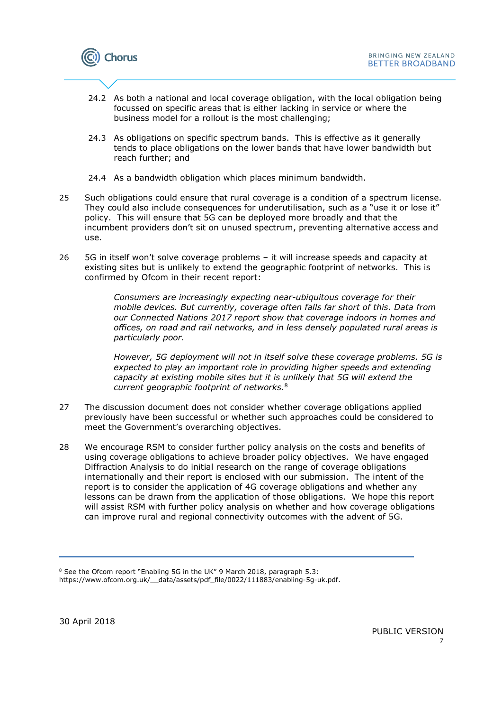

- 24.2 As both a national and local coverage obligation, with the local obligation being focussed on specific areas that is either lacking in service or where the business model for a rollout is the most challenging;
- 24.3 As obligations on specific spectrum bands. This is effective as it generally tends to place obligations on the lower bands that have lower bandwidth but reach further; and
- 24.4 As a bandwidth obligation which places minimum bandwidth.
- 25 Such obligations could ensure that rural coverage is a condition of a spectrum license. They could also include consequences for underutilisation, such as a "use it or lose it" policy. This will ensure that 5G can be deployed more broadly and that the incumbent providers don't sit on unused spectrum, preventing alternative access and use.
- 26 5G in itself won't solve coverage problems it will increase speeds and capacity at existing sites but is unlikely to extend the geographic footprint of networks. This is confirmed by Ofcom in their recent report:

Consumers are increasingly expecting near-ubiquitous coverage for their mobile devices. But currently, coverage often falls far short of this. Data from our Connected Nations 2017 report show that coverage indoors in homes and offices, on road and rail networks, and in less densely populated rural areas is particularly poor.

However, 5G deployment will not in itself solve these coverage problems. 5G is expected to play an important role in providing higher speeds and extending capacity at existing mobile sites but it is unlikely that 5G will extend the current geographic footprint of networks.<sup>8</sup>

- 27 The discussion document does not consider whether coverage obligations applied previously have been successful or whether such approaches could be considered to meet the Government's overarching objectives.
- 28 We encourage RSM to consider further policy analysis on the costs and benefits of using coverage obligations to achieve broader policy objectives. We have engaged Diffraction Analysis to do initial research on the range of coverage obligations internationally and their report is enclosed with our submission. The intent of the report is to consider the application of 4G coverage obligations and whether any lessons can be drawn from the application of those obligations. We hope this report will assist RSM with further policy analysis on whether and how coverage obligations can improve rural and regional connectivity outcomes with the advent of 5G.

L

<sup>&</sup>lt;sup>8</sup> See the Ofcom report "Enabling 5G in the UK" 9 March 2018, paragraph 5.3: https://www.ofcom.org.uk/\_\_data/assets/pdf\_file/0022/111883/enabling-5g-uk.pdf.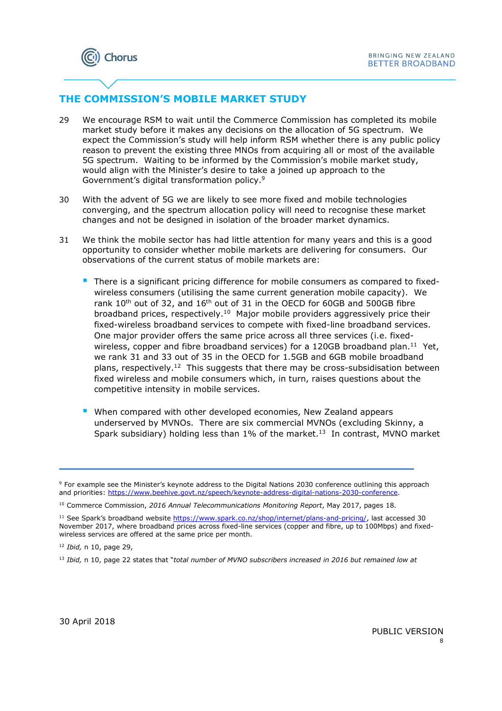# THE COMMISSION'S MOBILE MARKET STUDY

- 29 We encourage RSM to wait until the Commerce Commission has completed its mobile market study before it makes any decisions on the allocation of 5G spectrum. We expect the Commission's study will help inform RSM whether there is any public policy reason to prevent the existing three MNOs from acquiring all or most of the available 5G spectrum. Waiting to be informed by the Commission's mobile market study, would align with the Minister's desire to take a joined up approach to the Government's digital transformation policy.<sup>9</sup>
- 30 With the advent of 5G we are likely to see more fixed and mobile technologies converging, and the spectrum allocation policy will need to recognise these market changes and not be designed in isolation of the broader market dynamics.
- 31 We think the mobile sector has had little attention for many years and this is a good opportunity to consider whether mobile markets are delivering for consumers. Our observations of the current status of mobile markets are:
	- There is a significant pricing difference for mobile consumers as compared to fixedwireless consumers (utilising the same current generation mobile capacity). We rank 10<sup>th</sup> out of 32, and 16<sup>th</sup> out of 31 in the OECD for 60GB and 500GB fibre broadband prices, respectively.<sup>10</sup> Major mobile providers aggressively price their fixed-wireless broadband services to compete with fixed-line broadband services. One major provider offers the same price across all three services (i.e. fixedwireless, copper and fibre broadband services) for a 120GB broadband plan.<sup>11</sup> Yet, we rank 31 and 33 out of 35 in the OECD for 1.5GB and 6GB mobile broadband plans, respectively.<sup>12</sup> This suggests that there may be cross-subsidisation between fixed wireless and mobile consumers which, in turn, raises questions about the competitive intensity in mobile services.
	- **When compared with other developed economies, New Zealand appears** underserved by MVNOs. There are six commercial MVNOs (excluding Skinny, a Spark subsidiary) holding less than 1% of the market.<sup>13</sup> In contrast, MVNO market

<sup>11</sup> See Spark's broadband website https://www.spark.co.nz/shop/internet/plans-and-pricing/, last accessed 30 November 2017, where broadband prices across fixed-line services (copper and fibre, up to 100Mbps) and fixedwireless services are offered at the same price per month.

E

<sup>9</sup> For example see the Minister's keynote address to the Digital Nations 2030 conference outlining this approach and priorities: https://www.beehive.govt.nz/speech/keynote-address-digital-nations-2030-conference.

<sup>&</sup>lt;sup>10</sup> Commerce Commission, 2016 Annual Telecommunications Monitoring Report, May 2017, pages 18.

 $12$  *Ibid,* n 10, page 29,

 $13$  Ibid, n 10, page 22 states that "total number of MVNO subscribers increased in 2016 but remained low at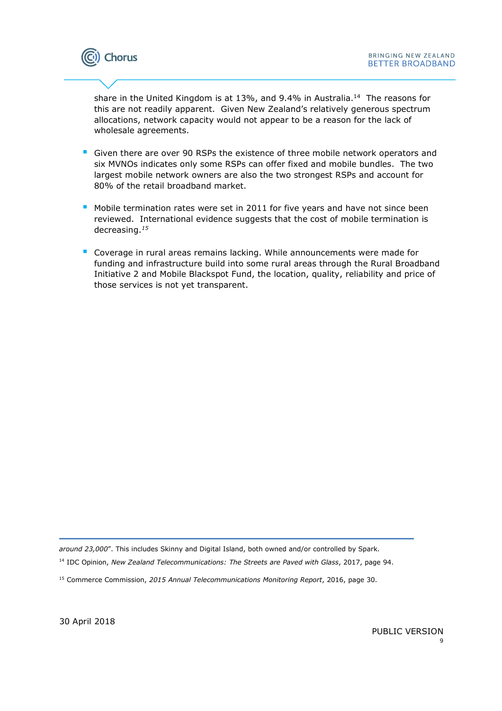

share in the United Kingdom is at 13%, and 9.4% in Australia.<sup>14</sup> The reasons for this are not readily apparent. Given New Zealand's relatively generous spectrum allocations, network capacity would not appear to be a reason for the lack of wholesale agreements.

- Given there are over 90 RSPs the existence of three mobile network operators and six MVNOs indicates only some RSPs can offer fixed and mobile bundles. The two largest mobile network owners are also the two strongest RSPs and account for 80% of the retail broadband market.
- **Mobile termination rates were set in 2011 for five years and have not since been** reviewed. International evidence suggests that the cost of mobile termination is decreasing.<sup>15</sup>
- Coverage in rural areas remains lacking. While announcements were made for funding and infrastructure build into some rural areas through the Rural Broadband Initiative 2 and Mobile Blackspot Fund, the location, quality, reliability and price of those services is not yet transparent.

L around 23,000". This includes Skinny and Digital Island, both owned and/or controlled by Spark.

<sup>14</sup> IDC Opinion, New Zealand Telecommunications: The Streets are Paved with Glass, 2017, page 94.

30 April 2018

<sup>&</sup>lt;sup>15</sup> Commerce Commission, 2015 Annual Telecommunications Monitoring Report, 2016, page 30.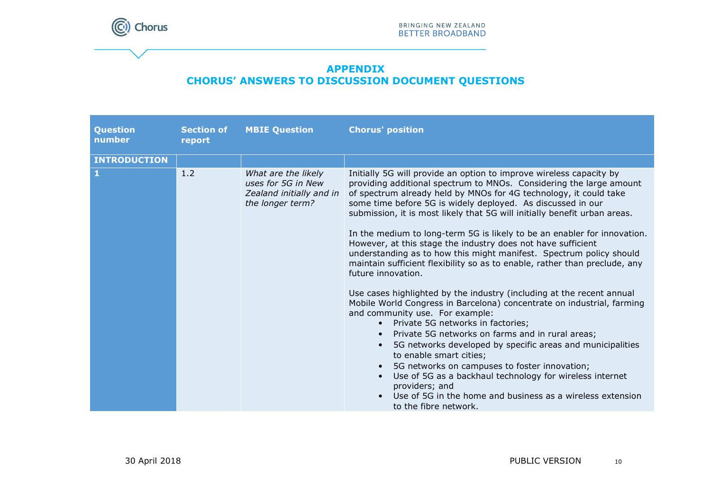

## APPENDIX CHORUS' ANSWERS TO DISCUSSION DOCUMENT QUESTIONS

| Question<br>number  | <b>Section of</b><br>report | <b>MBIE Question</b>                                                                      | <b>Chorus' position</b>                                                                                                                                                                                                                                                                                                                                                                                                                                                                                                                                                                                                                                                                                                                                                                                                                                                                                                                                                                                                                                                                                                                                                                                                                                                                                                              |
|---------------------|-----------------------------|-------------------------------------------------------------------------------------------|--------------------------------------------------------------------------------------------------------------------------------------------------------------------------------------------------------------------------------------------------------------------------------------------------------------------------------------------------------------------------------------------------------------------------------------------------------------------------------------------------------------------------------------------------------------------------------------------------------------------------------------------------------------------------------------------------------------------------------------------------------------------------------------------------------------------------------------------------------------------------------------------------------------------------------------------------------------------------------------------------------------------------------------------------------------------------------------------------------------------------------------------------------------------------------------------------------------------------------------------------------------------------------------------------------------------------------------|
| <b>INTRODUCTION</b> |                             |                                                                                           |                                                                                                                                                                                                                                                                                                                                                                                                                                                                                                                                                                                                                                                                                                                                                                                                                                                                                                                                                                                                                                                                                                                                                                                                                                                                                                                                      |
| $\mathbf{1}$        | 1.2                         | What are the likely<br>uses for 5G in New<br>Zealand initially and in<br>the longer term? | Initially 5G will provide an option to improve wireless capacity by<br>providing additional spectrum to MNOs. Considering the large amount<br>of spectrum already held by MNOs for 4G technology, it could take<br>some time before 5G is widely deployed. As discussed in our<br>submission, it is most likely that 5G will initially benefit urban areas.<br>In the medium to long-term 5G is likely to be an enabler for innovation.<br>However, at this stage the industry does not have sufficient<br>understanding as to how this might manifest. Spectrum policy should<br>maintain sufficient flexibility so as to enable, rather than preclude, any<br>future innovation.<br>Use cases highlighted by the industry (including at the recent annual<br>Mobile World Congress in Barcelona) concentrate on industrial, farming<br>and community use. For example:<br>Private 5G networks in factories;<br>$\bullet$<br>Private 5G networks on farms and in rural areas;<br>5G networks developed by specific areas and municipalities<br>$\bullet$<br>to enable smart cities;<br>5G networks on campuses to foster innovation;<br>$\bullet$<br>Use of 5G as a backhaul technology for wireless internet<br>$\bullet$<br>providers; and<br>Use of 5G in the home and business as a wireless extension<br>to the fibre network. |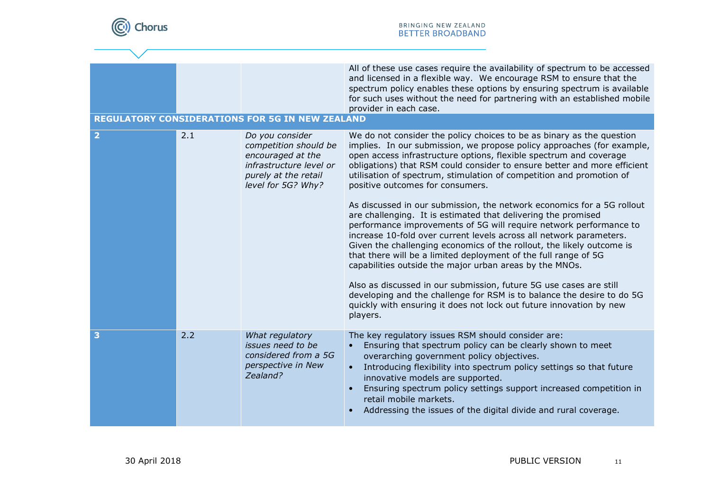

|                         |     |                                                                                                                                        | All of these use cases require the availability of spectrum to be accessed<br>and licensed in a flexible way. We encourage RSM to ensure that the<br>spectrum policy enables these options by ensuring spectrum is available<br>for such uses without the need for partnering with an established mobile<br>provider in each case.                                                                                                                                                      |
|-------------------------|-----|----------------------------------------------------------------------------------------------------------------------------------------|-----------------------------------------------------------------------------------------------------------------------------------------------------------------------------------------------------------------------------------------------------------------------------------------------------------------------------------------------------------------------------------------------------------------------------------------------------------------------------------------|
|                         |     | <b>REGULATORY CONSIDERATIONS FOR 5G IN NEW ZEALAND</b>                                                                                 |                                                                                                                                                                                                                                                                                                                                                                                                                                                                                         |
| $\overline{\mathbf{2}}$ | 2.1 | Do you consider<br>competition should be<br>encouraged at the<br>infrastructure level or<br>purely at the retail<br>level for 5G? Why? | We do not consider the policy choices to be as binary as the question<br>implies. In our submission, we propose policy approaches (for example,<br>open access infrastructure options, flexible spectrum and coverage<br>obligations) that RSM could consider to ensure better and more efficient<br>utilisation of spectrum, stimulation of competition and promotion of<br>positive outcomes for consumers.<br>As discussed in our submission, the network economics for a 5G rollout |
|                         |     |                                                                                                                                        | are challenging. It is estimated that delivering the promised<br>performance improvements of 5G will require network performance to<br>increase 10-fold over current levels across all network parameters.<br>Given the challenging economics of the rollout, the likely outcome is<br>that there will be a limited deployment of the full range of 5G<br>capabilities outside the major urban areas by the MNOs.                                                                       |
|                         |     |                                                                                                                                        | Also as discussed in our submission, future 5G use cases are still<br>developing and the challenge for RSM is to balance the desire to do 5G<br>quickly with ensuring it does not lock out future innovation by new<br>players.                                                                                                                                                                                                                                                         |
| 3                       | 2.2 | What regulatory<br>issues need to be<br>considered from a 5G<br>perspective in New<br>Zealand?                                         | The key regulatory issues RSM should consider are:<br>Ensuring that spectrum policy can be clearly shown to meet<br>overarching government policy objectives.<br>Introducing flexibility into spectrum policy settings so that future<br>$\bullet$<br>innovative models are supported.<br>Ensuring spectrum policy settings support increased competition in<br>$\bullet$<br>retail mobile markets.<br>Addressing the issues of the digital divide and rural coverage.<br>$\bullet$     |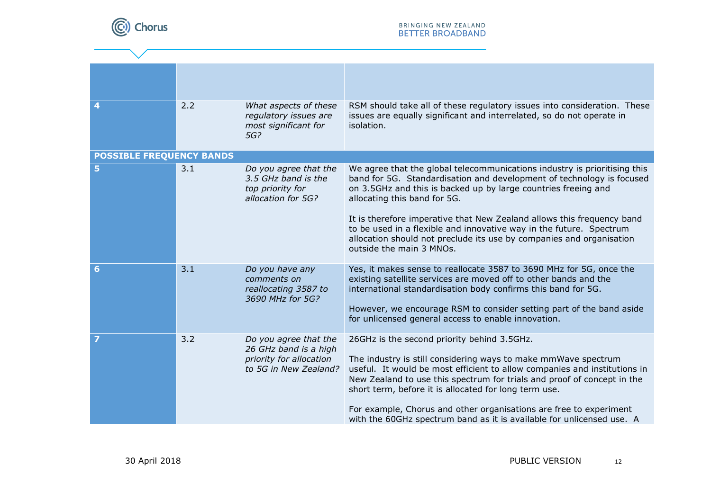

| 4                               | 2.2 | What aspects of these<br>regulatory issues are<br>most significant for<br>5G?                      | RSM should take all of these regulatory issues into consideration. These<br>issues are equally significant and interrelated, so do not operate in<br>isolation.                                                                                                                                                                                                                                                                                                                                           |  |
|---------------------------------|-----|----------------------------------------------------------------------------------------------------|-----------------------------------------------------------------------------------------------------------------------------------------------------------------------------------------------------------------------------------------------------------------------------------------------------------------------------------------------------------------------------------------------------------------------------------------------------------------------------------------------------------|--|
| <b>POSSIBLE FREQUENCY BANDS</b> |     |                                                                                                    |                                                                                                                                                                                                                                                                                                                                                                                                                                                                                                           |  |
| 5                               | 3.1 | Do you agree that the<br>3.5 GHz band is the<br>top priority for<br>allocation for 5G?             | We agree that the global telecommunications industry is prioritising this<br>band for 5G. Standardisation and development of technology is focused<br>on 3.5GHz and this is backed up by large countries freeing and<br>allocating this band for 5G.<br>It is therefore imperative that New Zealand allows this frequency band<br>to be used in a flexible and innovative way in the future. Spectrum<br>allocation should not preclude its use by companies and organisation<br>outside the main 3 MNOs. |  |
|                                 |     |                                                                                                    |                                                                                                                                                                                                                                                                                                                                                                                                                                                                                                           |  |
| 6                               | 3.1 | Do you have any<br>comments on<br>reallocating 3587 to<br>3690 MHz for 5G?                         | Yes, it makes sense to reallocate 3587 to 3690 MHz for 5G, once the<br>existing satellite services are moved off to other bands and the<br>international standardisation body confirms this band for 5G.<br>However, we encourage RSM to consider setting part of the band aside<br>for unlicensed general access to enable innovation.                                                                                                                                                                   |  |
|                                 | 3.2 | Do you agree that the<br>26 GHz band is a high<br>priority for allocation<br>to 5G in New Zealand? | 26GHz is the second priority behind 3.5GHz.<br>The industry is still considering ways to make mmWave spectrum<br>useful. It would be most efficient to allow companies and institutions in<br>New Zealand to use this spectrum for trials and proof of concept in the<br>short term, before it is allocated for long term use.<br>For example, Chorus and other organisations are free to experiment<br>with the 60GHz spectrum band as it is available for unlicensed use. A                             |  |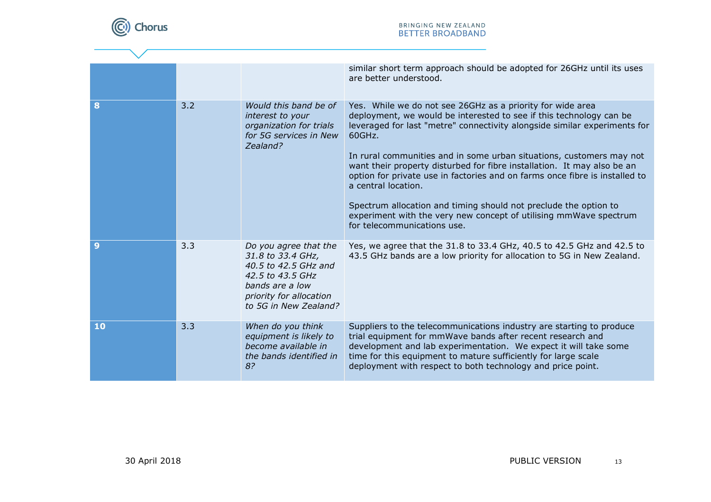

|    |     |                                                                                                                                                               | similar short term approach should be adopted for 26GHz until its uses<br>are better understood.                                                                                                                                                                                                                                                                                                                                                                                                                                                                                                                                                          |
|----|-----|---------------------------------------------------------------------------------------------------------------------------------------------------------------|-----------------------------------------------------------------------------------------------------------------------------------------------------------------------------------------------------------------------------------------------------------------------------------------------------------------------------------------------------------------------------------------------------------------------------------------------------------------------------------------------------------------------------------------------------------------------------------------------------------------------------------------------------------|
| 8  | 3.2 | Would this band be of<br>interest to your<br>organization for trials<br>for 5G services in New<br>Zealand?                                                    | Yes. While we do not see 26GHz as a priority for wide area<br>deployment, we would be interested to see if this technology can be<br>leveraged for last "metre" connectivity alongside similar experiments for<br>60GHz.<br>In rural communities and in some urban situations, customers may not<br>want their property disturbed for fibre installation. It may also be an<br>option for private use in factories and on farms once fibre is installed to<br>a central location.<br>Spectrum allocation and timing should not preclude the option to<br>experiment with the very new concept of utilising mmWave spectrum<br>for telecommunications use. |
| 9  | 3.3 | Do you agree that the<br>31.8 to 33.4 GHz,<br>40.5 to 42.5 GHz and<br>42.5 to 43.5 GHz<br>bands are a low<br>priority for allocation<br>to 5G in New Zealand? | Yes, we agree that the 31.8 to 33.4 GHz, 40.5 to 42.5 GHz and 42.5 to<br>43.5 GHz bands are a low priority for allocation to 5G in New Zealand.                                                                                                                                                                                                                                                                                                                                                                                                                                                                                                           |
| 10 | 3.3 | When do you think<br>equipment is likely to<br>become available in<br>the bands identified in<br>8?                                                           | Suppliers to the telecommunications industry are starting to produce<br>trial equipment for mmWave bands after recent research and<br>development and lab experimentation. We expect it will take some<br>time for this equipment to mature sufficiently for large scale<br>deployment with respect to both technology and price point.                                                                                                                                                                                                                                                                                                                   |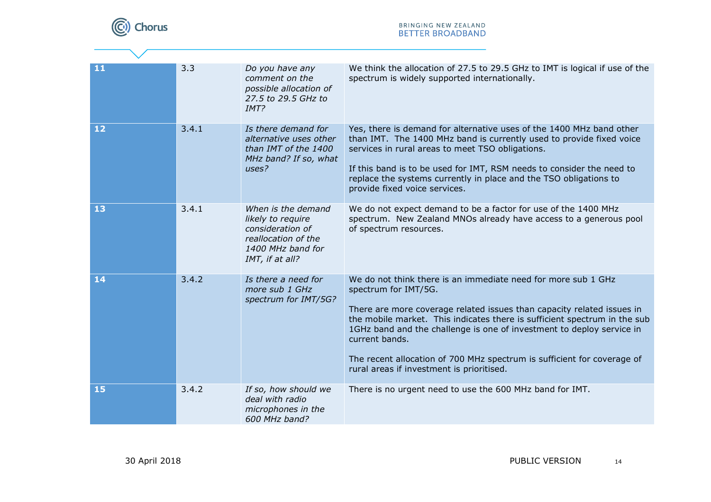

 $\overline{\phantom{a}}$ 

| 11 | 3.3   | Do you have any<br>comment on the<br>possible allocation of<br>27.5 to 29.5 GHz to<br>IMT?                                 | We think the allocation of 27.5 to 29.5 GHz to IMT is logical if use of the<br>spectrum is widely supported internationally.                                                                                                                                                                                                                                                                                                                                    |
|----|-------|----------------------------------------------------------------------------------------------------------------------------|-----------------------------------------------------------------------------------------------------------------------------------------------------------------------------------------------------------------------------------------------------------------------------------------------------------------------------------------------------------------------------------------------------------------------------------------------------------------|
| 12 | 3.4.1 | Is there demand for<br>alternative uses other<br>than IMT of the 1400<br>MHz band? If so, what<br>uses?                    | Yes, there is demand for alternative uses of the 1400 MHz band other<br>than IMT. The 1400 MHz band is currently used to provide fixed voice<br>services in rural areas to meet TSO obligations.<br>If this band is to be used for IMT, RSM needs to consider the need to<br>replace the systems currently in place and the TSO obligations to<br>provide fixed voice services.                                                                                 |
| 13 | 3.4.1 | When is the demand<br>likely to require<br>consideration of<br>reallocation of the<br>1400 MHz band for<br>IMT, if at all? | We do not expect demand to be a factor for use of the 1400 MHz<br>spectrum. New Zealand MNOs already have access to a generous pool<br>of spectrum resources.                                                                                                                                                                                                                                                                                                   |
| 14 | 3.4.2 | Is there a need for<br>more sub 1 GHz<br>spectrum for IMT/5G?                                                              | We do not think there is an immediate need for more sub 1 GHz<br>spectrum for IMT/5G.<br>There are more coverage related issues than capacity related issues in<br>the mobile market. This indicates there is sufficient spectrum in the sub<br>1GHz band and the challenge is one of investment to deploy service in<br>current bands.<br>The recent allocation of 700 MHz spectrum is sufficient for coverage of<br>rural areas if investment is prioritised. |
| 15 | 3.4.2 | If so, how should we<br>deal with radio<br>microphones in the<br>600 MHz band?                                             | There is no urgent need to use the 600 MHz band for IMT.                                                                                                                                                                                                                                                                                                                                                                                                        |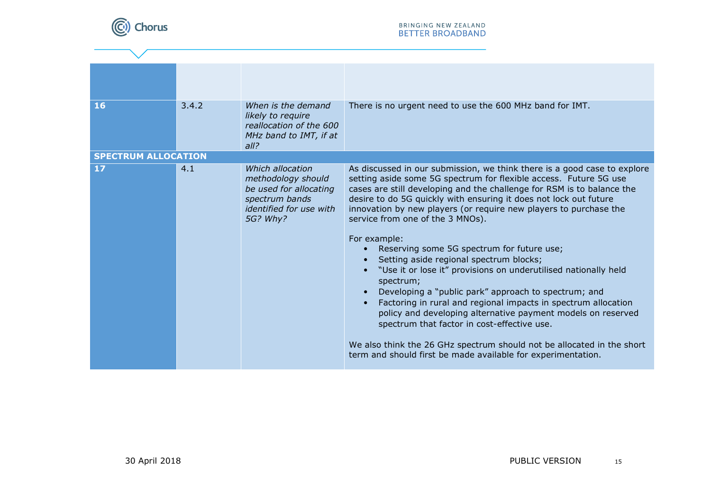

| 16                         | 3.4.2 | When is the demand<br>likely to require<br>reallocation of the 600<br>MHz band to IMT, if at<br>all?                      | There is no urgent need to use the 600 MHz band for IMT.                                                                                                                                                                                                                                                                                                                                                                                                                                                                                                                                       |
|----------------------------|-------|---------------------------------------------------------------------------------------------------------------------------|------------------------------------------------------------------------------------------------------------------------------------------------------------------------------------------------------------------------------------------------------------------------------------------------------------------------------------------------------------------------------------------------------------------------------------------------------------------------------------------------------------------------------------------------------------------------------------------------|
| <b>SPECTRUM ALLOCATION</b> |       |                                                                                                                           |                                                                                                                                                                                                                                                                                                                                                                                                                                                                                                                                                                                                |
| 17                         | 4.1   | Which allocation<br>methodology should<br>be used for allocating<br>spectrum bands<br>identified for use with<br>5G? Why? | As discussed in our submission, we think there is a good case to explore<br>setting aside some 5G spectrum for flexible access. Future 5G use<br>cases are still developing and the challenge for RSM is to balance the<br>desire to do 5G quickly with ensuring it does not lock out future<br>innovation by new players (or require new players to purchase the<br>service from one of the 3 MNOs).<br>For example:<br>Reserving some 5G spectrum for future use;<br>Setting aside regional spectrum blocks;<br>"Use it or lose it" provisions on underutilised nationally held<br>spectrum; |
|                            |       |                                                                                                                           | Developing a "public park" approach to spectrum; and<br>Factoring in rural and regional impacts in spectrum allocation<br>policy and developing alternative payment models on reserved<br>spectrum that factor in cost-effective use.<br>We also think the 26 GHz spectrum should not be allocated in the short<br>term and should first be made available for experimentation.                                                                                                                                                                                                                |
|                            |       |                                                                                                                           |                                                                                                                                                                                                                                                                                                                                                                                                                                                                                                                                                                                                |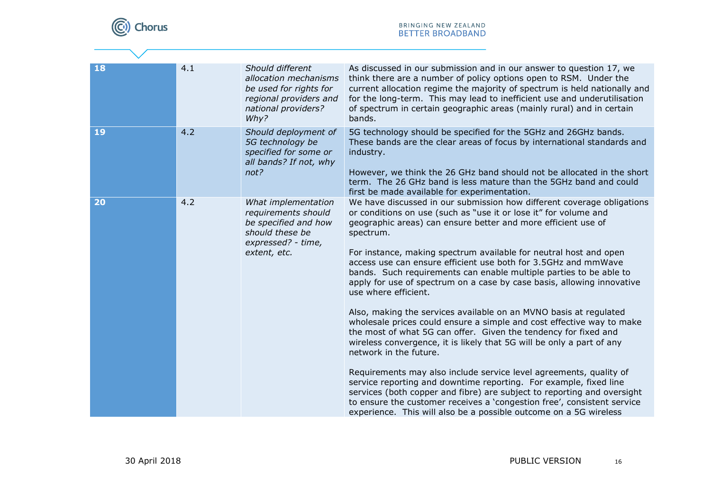

| 18 | 4.1 | Should different<br>allocation mechanisms<br>be used for rights for<br>regional providers and<br>national providers?<br>Why? | As discussed in our submission and in our answer to question 17, we<br>think there are a number of policy options open to RSM. Under the<br>current allocation regime the majority of spectrum is held nationally and<br>for the long-term. This may lead to inefficient use and underutilisation<br>of spectrum in certain geographic areas (mainly rural) and in certain<br>bands.                                                                                                                                                                                                                                                                                                                                                                                                                                                                                                                                                                                                                                                                                                                                                                                                                                              |
|----|-----|------------------------------------------------------------------------------------------------------------------------------|-----------------------------------------------------------------------------------------------------------------------------------------------------------------------------------------------------------------------------------------------------------------------------------------------------------------------------------------------------------------------------------------------------------------------------------------------------------------------------------------------------------------------------------------------------------------------------------------------------------------------------------------------------------------------------------------------------------------------------------------------------------------------------------------------------------------------------------------------------------------------------------------------------------------------------------------------------------------------------------------------------------------------------------------------------------------------------------------------------------------------------------------------------------------------------------------------------------------------------------|
| 19 | 4.2 | Should deployment of<br>5G technology be<br>specified for some or<br>all bands? If not, why<br>not?                          | 5G technology should be specified for the 5GHz and 26GHz bands.<br>These bands are the clear areas of focus by international standards and<br>industry.<br>However, we think the 26 GHz band should not be allocated in the short<br>term. The 26 GHz band is less mature than the 5GHz band and could<br>first be made available for experimentation.                                                                                                                                                                                                                                                                                                                                                                                                                                                                                                                                                                                                                                                                                                                                                                                                                                                                            |
| 20 | 4.2 | What implementation<br>requirements should<br>be specified and how<br>should these be<br>expressed? - time,<br>extent, etc.  | We have discussed in our submission how different coverage obligations<br>or conditions on use (such as "use it or lose it" for volume and<br>geographic areas) can ensure better and more efficient use of<br>spectrum.<br>For instance, making spectrum available for neutral host and open<br>access use can ensure efficient use both for 3.5GHz and mmWave<br>bands. Such requirements can enable multiple parties to be able to<br>apply for use of spectrum on a case by case basis, allowing innovative<br>use where efficient.<br>Also, making the services available on an MVNO basis at regulated<br>wholesale prices could ensure a simple and cost effective way to make<br>the most of what 5G can offer. Given the tendency for fixed and<br>wireless convergence, it is likely that 5G will be only a part of any<br>network in the future.<br>Requirements may also include service level agreements, quality of<br>service reporting and downtime reporting. For example, fixed line<br>services (both copper and fibre) are subject to reporting and oversight<br>to ensure the customer receives a 'congestion free', consistent service<br>experience. This will also be a possible outcome on a 5G wireless |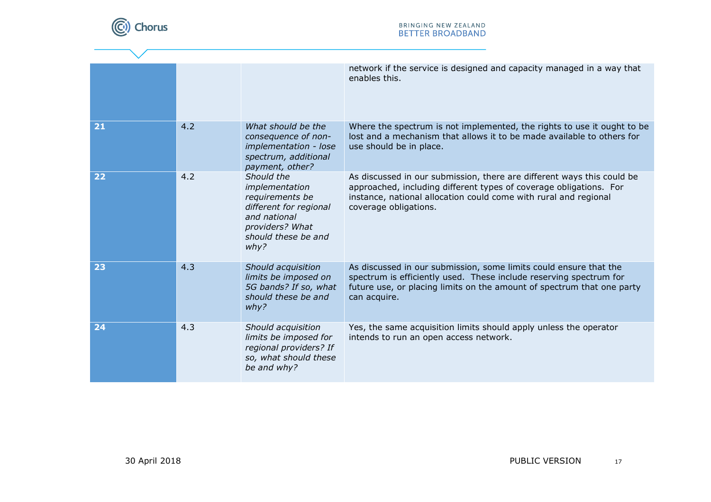

|    |     |                                                                                                                                             | network if the service is designed and capacity managed in a way that<br>enables this.                                                                                                                                                    |
|----|-----|---------------------------------------------------------------------------------------------------------------------------------------------|-------------------------------------------------------------------------------------------------------------------------------------------------------------------------------------------------------------------------------------------|
| 21 | 4.2 | What should be the<br>consequence of non-<br>implementation - lose<br>spectrum, additional<br>payment, other?                               | Where the spectrum is not implemented, the rights to use it ought to be<br>lost and a mechanism that allows it to be made available to others for<br>use should be in place.                                                              |
| 22 | 4.2 | Should the<br>implementation<br>requirements be<br>different for regional<br>and national<br>providers? What<br>should these be and<br>why? | As discussed in our submission, there are different ways this could be<br>approached, including different types of coverage obligations. For<br>instance, national allocation could come with rural and regional<br>coverage obligations. |
| 23 | 4.3 | Should acquisition<br>limits be imposed on<br>5G bands? If so, what<br>should these be and<br>why?                                          | As discussed in our submission, some limits could ensure that the<br>spectrum is efficiently used. These include reserving spectrum for<br>future use, or placing limits on the amount of spectrum that one party<br>can acquire.         |
| 24 | 4.3 | Should acquisition<br>limits be imposed for<br>regional providers? If<br>so, what should these<br>be and why?                               | Yes, the same acquisition limits should apply unless the operator<br>intends to run an open access network.                                                                                                                               |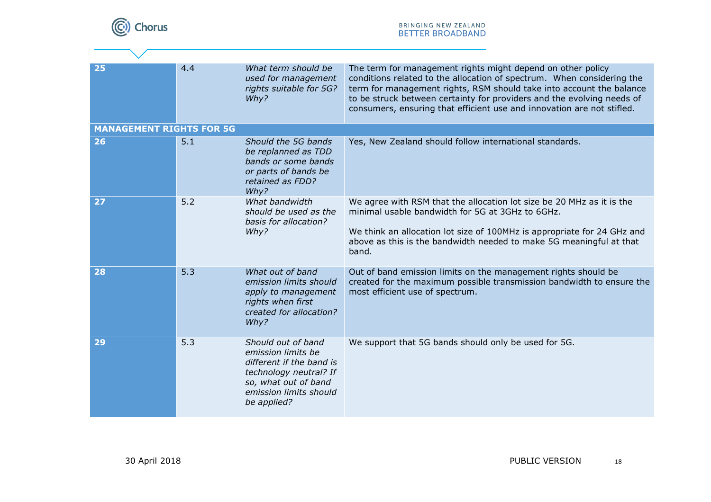

| 25                              | 4.4 | What term should be<br>used for management<br>rights suitable for 5G?<br>Why?                                                                                   | The term for management rights might depend on other policy<br>conditions related to the allocation of spectrum. When considering the<br>term for management rights, RSM should take into account the balance<br>to be struck between certainty for providers and the evolving needs of<br>consumers, ensuring that efficient use and innovation are not stifled. |
|---------------------------------|-----|-----------------------------------------------------------------------------------------------------------------------------------------------------------------|-------------------------------------------------------------------------------------------------------------------------------------------------------------------------------------------------------------------------------------------------------------------------------------------------------------------------------------------------------------------|
| <b>MANAGEMENT RIGHTS FOR 5G</b> |     |                                                                                                                                                                 |                                                                                                                                                                                                                                                                                                                                                                   |
| 26                              | 5.1 | Should the 5G bands<br>be replanned as TDD<br>bands or some bands<br>or parts of bands be<br>retained as FDD?<br>Why?                                           | Yes, New Zealand should follow international standards.                                                                                                                                                                                                                                                                                                           |
| 27                              | 5.2 | What bandwidth<br>should be used as the<br>basis for allocation?<br>Why?                                                                                        | We agree with RSM that the allocation lot size be 20 MHz as it is the<br>minimal usable bandwidth for 5G at 3GHz to 6GHz.<br>We think an allocation lot size of 100MHz is appropriate for 24 GHz and<br>above as this is the bandwidth needed to make 5G meaningful at that<br>band.                                                                              |
| 28                              | 5.3 | What out of band<br>emission limits should<br>apply to management<br>rights when first<br>created for allocation?<br>Why?                                       | Out of band emission limits on the management rights should be<br>created for the maximum possible transmission bandwidth to ensure the<br>most efficient use of spectrum.                                                                                                                                                                                        |
| 29                              | 5.3 | Should out of band<br>emission limits be<br>different if the band is<br>technology neutral? If<br>so, what out of band<br>emission limits should<br>be applied? | We support that 5G bands should only be used for 5G.                                                                                                                                                                                                                                                                                                              |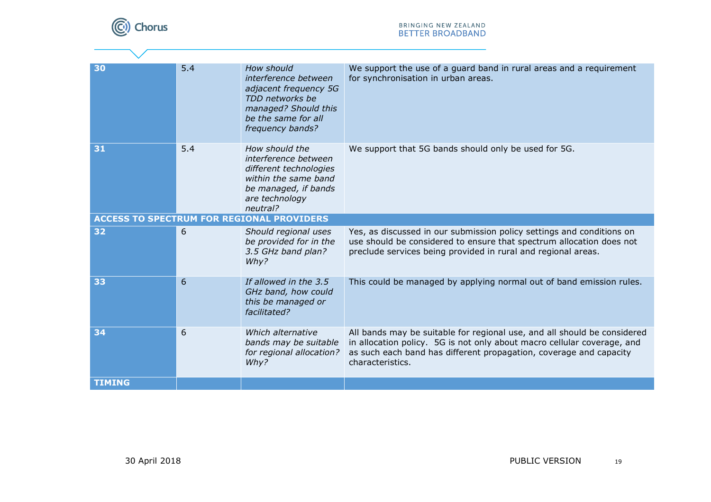

 $\overline{\phantom{a}}$ 

| 30            | 5.4 | How should<br>interference between<br>adjacent frequency 5G<br>TDD networks be<br>managed? Should this<br>be the same for all<br>frequency bands? | We support the use of a guard band in rural areas and a requirement<br>for synchronisation in urban areas.                                                                                                                                    |
|---------------|-----|---------------------------------------------------------------------------------------------------------------------------------------------------|-----------------------------------------------------------------------------------------------------------------------------------------------------------------------------------------------------------------------------------------------|
| 31            | 5.4 | How should the<br>interference between<br>different technologies<br>within the same band<br>be managed, if bands<br>are technology<br>neutral?    | We support that 5G bands should only be used for 5G.                                                                                                                                                                                          |
|               |     | <b>ACCESS TO SPECTRUM FOR REGIONAL PROVIDERS</b>                                                                                                  |                                                                                                                                                                                                                                               |
| 32            | 6   | Should regional uses<br>be provided for in the<br>3.5 GHz band plan?<br>Why?                                                                      | Yes, as discussed in our submission policy settings and conditions on<br>use should be considered to ensure that spectrum allocation does not<br>preclude services being provided in rural and regional areas.                                |
| 33            | 6   | If allowed in the 3.5<br>GHz band, how could<br>this be managed or<br>facilitated?                                                                | This could be managed by applying normal out of band emission rules.                                                                                                                                                                          |
| 34            | 6   | Which alternative<br>bands may be suitable<br>for regional allocation?<br>Why?                                                                    | All bands may be suitable for regional use, and all should be considered<br>in allocation policy. 5G is not only about macro cellular coverage, and<br>as such each band has different propagation, coverage and capacity<br>characteristics. |
| <b>TIMING</b> |     |                                                                                                                                                   |                                                                                                                                                                                                                                               |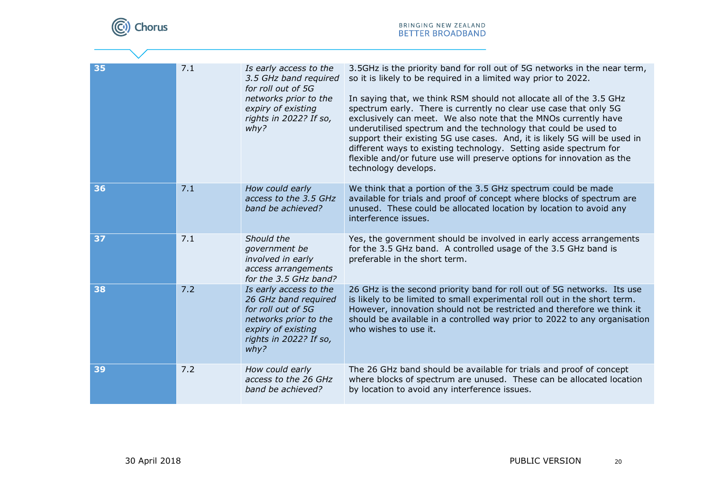